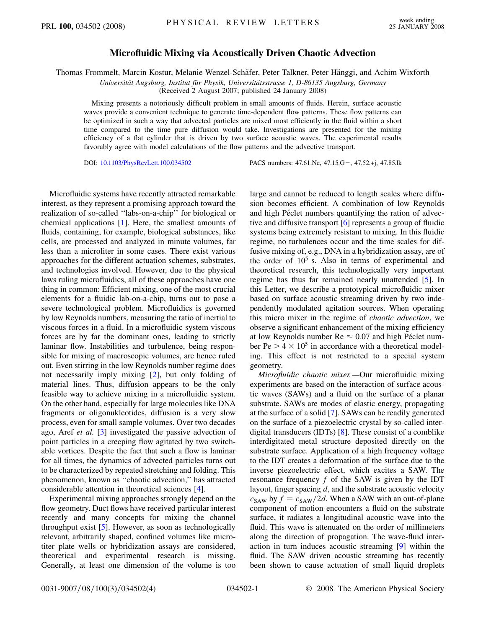## **Microfluidic Mixing via Acoustically Driven Chaotic Advection**

Thomas Frommelt, Marcin Kostur, Melanie Wenzel-Schäfer, Peter Talkner, Peter Hänggi, and Achim Wixforth

*Universita¨t Augsburg, Institut fu¨r Physik, Universita¨tsstrasse 1, D-86135 Augsburg, Germany*

(Received 2 August 2007; published 24 January 2008)

Mixing presents a notoriously difficult problem in small amounts of fluids. Herein, surface acoustic waves provide a convenient technique to generate time-dependent flow patterns. These flow patterns can be optimized in such a way that advected particles are mixed most efficiently in the fluid within a short time compared to the time pure diffusion would take. Investigations are presented for the mixing efficiency of a flat cylinder that is driven by two surface acoustic waves. The experimental results favorably agree with model calculations of the flow patterns and the advective transport.

DOI: [10.1103/PhysRevLett.100.034502](http://dx.doi.org/10.1103/PhysRevLett.100.034502) PACS numbers: 47.61.Ne, 47.15.G-, 47.52.+j, 47.85.lk

Microfluidic systems have recently attracted remarkable interest, as they represent a promising approach toward the realization of so-called ''labs-on-a-chip'' for biological or chemical applications [[1](#page-3-0)]. Here, the smallest amounts of fluids, containing, for example, biological substances, like cells, are processed and analyzed in minute volumes, far less than a microliter in some cases. There exist various approaches for the different actuation schemes, substrates, and technologies involved. However, due to the physical laws ruling microfluidics, all of these approaches have one thing in common: Efficient mixing, one of the most crucial elements for a fluidic lab-on-a-chip, turns out to pose a severe technological problem. Microfluidics is governed by low Reynolds numbers, measuring the ratio of inertial to viscous forces in a fluid. In a microfluidic system viscous forces are by far the dominant ones, leading to strictly laminar flow. Instabilities and turbulence, being responsible for mixing of macroscopic volumes, are hence ruled out. Even stirring in the low Reynolds number regime does not necessarily imply mixing [\[2](#page-3-1)], but only folding of material lines. Thus, diffusion appears to be the only feasible way to achieve mixing in a microfluidic system. On the other hand, especially for large molecules like DNA fragments or oligonukleotides, diffusion is a very slow process, even for small sample volumes. Over two decades ago, Aref *et al.* [\[3](#page-3-2)] investigated the passive advection of point particles in a creeping flow agitated by two switchable vortices. Despite the fact that such a flow is laminar for all times, the dynamics of advected particles turns out to be characterized by repeated stretching and folding. This phenomenon, known as ''chaotic advection,'' has attracted considerable attention in theoretical sciences [[4](#page-3-3)].

Experimental mixing approaches strongly depend on the flow geometry. Duct flows have received particular interest recently and many concepts for mixing the channel throughput exist [[5\]](#page-3-4). However, as soon as technologically relevant, arbitrarily shaped, confined volumes like microtiter plate wells or hybridization assays are considered, theoretical and experimental research is missing. Generally, at least one dimension of the volume is too large and cannot be reduced to length scales where diffusion becomes efficient. A combination of low Reynolds and high Péclet numbers quantifying the ration of advective and diffusive transport [\[6\]](#page-3-5) represents a group of fluidic systems being extremely resistant to mixing. In this fluidic regime, no turbulences occur and the time scales for diffusive mixing of, e.g., DNA in a hybridization assay, are of the order of  $10<sup>5</sup>$  s. Also in terms of experimental and theoretical research, this technologically very important regime has thus far remained nearly unattended [\[5](#page-3-4)]. In this Letter, we describe a prototypical microfluidic mixer based on surface acoustic streaming driven by two independently modulated agitation sources. When operating this micro mixer in the regime of *chaotic advection*, we observe a significant enhancement of the mixing efficiency at low Reynolds number  $Re \approx 0.07$  and high Péclet number  $Pe > 4 \times 10^5$  in accordance with a theoretical modeling. This effect is not restricted to a special system geometry.

*Microfluidic chaotic mixer.—*Our microfluidic mixing experiments are based on the interaction of surface acoustic waves (SAWs) and a fluid on the surface of a planar substrate. SAWs are modes of elastic energy, propagating at the surface of a solid [[7\]](#page-3-6). SAWs can be readily generated on the surface of a piezoelectric crystal by so-called interdigital transducers (IDTs) [\[8](#page-3-7)]. These consist of a comblike interdigitated metal structure deposited directly on the substrate surface. Application of a high frequency voltage to the IDT creates a deformation of the surface due to the inverse piezoelectric effect, which excites a SAW. The resonance frequency *f* of the SAW is given by the IDT layout, finger spacing *d*, and the substrate acoustic velocity  $c_{SAW}$  by  $f = c_{SAW}/2d$ . When a SAW with an out-of-plane component of motion encounters a fluid on the substrate surface, it radiates a longitudinal acoustic wave into the fluid. This wave is attenuated on the order of millimeters along the direction of propagation. The wave-fluid interaction in turn induces acoustic streaming [\[9](#page-3-8)] within the fluid. The SAW driven acoustic streaming has recently been shown to cause actuation of small liquid droplets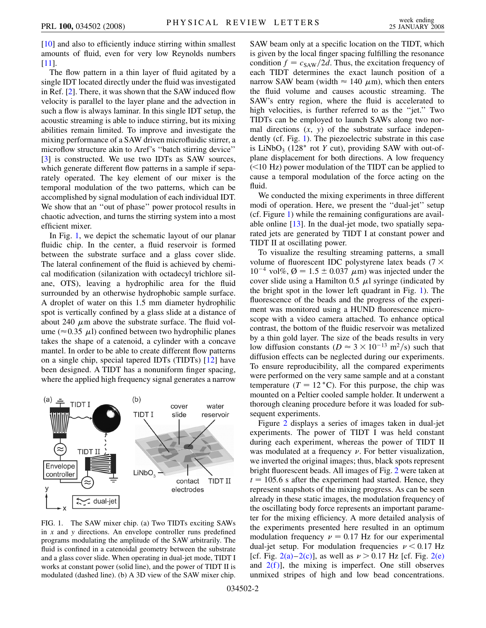[\[10\]](#page-3-9) and also to efficiently induce stirring within smallest amounts of fluid, even for very low Reynolds numbers [\[11\]](#page-3-10).

The flow pattern in a thin layer of fluid agitated by a single IDT located directly under the fluid was investigated in Ref. [\[2](#page-3-1)]. There, it was shown that the SAW induced flow velocity is parallel to the layer plane and the advection in such a flow is always laminar. In this single IDT setup, the acoustic streaming is able to induce stirring, but its mixing abilities remain limited. To improve and investigate the mixing performance of a SAW driven microfluidic stirrer, a microflow structure akin to Aref's ''batch stirring device'' [\[3\]](#page-3-2) is constructed. We use two IDTs as SAW sources, which generate different flow patterns in a sample if separately operated. The key element of our mixer is the temporal modulation of the two patterns, which can be accomplished by signal modulation of each individual IDT. We show that an ''out of phase'' power protocol results in chaotic advection, and turns the stirring system into a most efficient mixer.

In Fig. [1,](#page-1-0) we depict the schematic layout of our planar fluidic chip. In the center, a fluid reservoir is formed between the substrate surface and a glass cover slide. The lateral confinement of the fluid is achieved by chemical modification (silanization with octadecyl trichlore silane, OTS), leaving a hydrophilic area for the fluid surrounded by an otherwise hydrophobic sample surface. A droplet of water on this 1.5 mm diameter hydrophilic spot is vertically confined by a glass slide at a distance of about 240  $\mu$ m above the substrate surface. The fluid volume ( $\approx$  0.35  $\mu$ I) confined between two hydrophilic planes takes the shape of a catenoid, a cylinder with a concave mantel. In order to be able to create different flow patterns on a single chip, special tapered IDTs (TIDTs) [\[12\]](#page-3-11) have been designed. A TIDT has a nonuniform finger spacing, where the applied high frequency signal generates a narrow

<span id="page-1-0"></span>

FIG. 1. The SAW mixer chip. (a) Two TIDTs exciting SAWs in *x* and *y* directions. An envelope controller runs predefined programs modulating the amplitude of the SAW arbitrarily. The fluid is confined in a catenoidal geometry between the substrate and a glass cover slide. When operating in dual-jet mode, TIDT I works at constant power (solid line), and the power of TIDT II is modulated (dashed line). (b) A 3D view of the SAW mixer chip.

SAW beam only at a specific location on the TIDT, which is given by the local finger spacing fulfilling the resonance condition  $f = c_{SAW}/2d$ . Thus, the excitation frequency of each TIDT determines the exact launch position of a narrow SAW beam (width  $\approx 140 \ \mu \text{m}$ ), which then enters the fluid volume and causes acoustic streaming. The SAW's entry region, where the fluid is accelerated to high velocities, is further referred to as the "jet." Two TIDTs can be employed to launch SAWs along two normal directions (*x*, *y*) of the substrate surface independently (cf. Fig. [1\)](#page-1-0). The piezoelectric substrate in this case is LiNbO<sub>3</sub> (128 $\degree$  rot *Y* cut), providing SAW with out-ofplane displacement for both directions. A low frequency (*<*10 Hz) power modulation of the TIDT can be applied to cause a temporal modulation of the force acting on the fluid.

We conducted the mixing experiments in three different modi of operation. Here, we present the ''dual-jet'' setup (cf. Figure [1\)](#page-1-0) while the remaining configurations are available online [[13\]](#page-3-12). In the dual-jet mode, two spatially separated jets are generated by TIDT I at constant power and TIDT II at oscillating power.

To visualize the resulting streaming patterns, a small volume of fluorescent IDC polystyrene latex beads  $(7 \times$  $10^{-4}$  vol%,  $\varnothing = 1.5 \pm 0.037$   $\mu$ m) was injected under the cover slide using a Hamilton 0.5  $\mu$ l syringe (indicated by the bright spot in the lower left quadrant in Fig. [1\)](#page-1-0). The fluorescence of the beads and the progress of the experiment was monitored using a HUND fluorescence microscope with a video camera attached. To enhance optical contrast, the bottom of the fluidic reservoir was metalized by a thin gold layer. The size of the beads results in very low diffusion constants ( $D \approx 3 \times 10^{-13}$  m<sup>2</sup>/s) such that diffusion effects can be neglected during our experiments. To ensure reproducibility, all the compared experiments were performed on the very same sample and at a constant temperature  $(T = 12 \degree C)$ . For this purpose, the chip was mounted on a Peltier cooled sample holder. It underwent a thorough cleaning procedure before it was loaded for subsequent experiments.

Figure [2](#page-2-0) displays a series of images taken in dual-jet experiments. The power of TIDT I was held constant during each experiment, whereas the power of TIDT II was modulated at a frequency  $\nu$ . For better visualization, we inverted the original images; thus, black spots represent bright fluorescent beads. All images of Fig. [2](#page-2-0) were taken at  $t = 105.6$  s after the experiment had started. Hence, they represent snapshots of the mixing progress. As can be seen already in these static images, the modulation frequency of the oscillating body force represents an important parameter for the mixing efficiency. A more detailed analysis of the experiments presented here resulted in an optimum modulation frequency  $\nu = 0.17$  Hz for our experimental dual-jet setup. For modulation frequencies  $\nu < 0.17$  Hz [cf. Fig.  $2(a) - 2(c)$  $2(a) - 2(c)$ ], as well as  $\nu > 0.17$  Hz [cf. Fig.  $2(e)$ and  $2(f)$ ], the mixing is imperfect. One still observes unmixed stripes of high and low bead concentrations.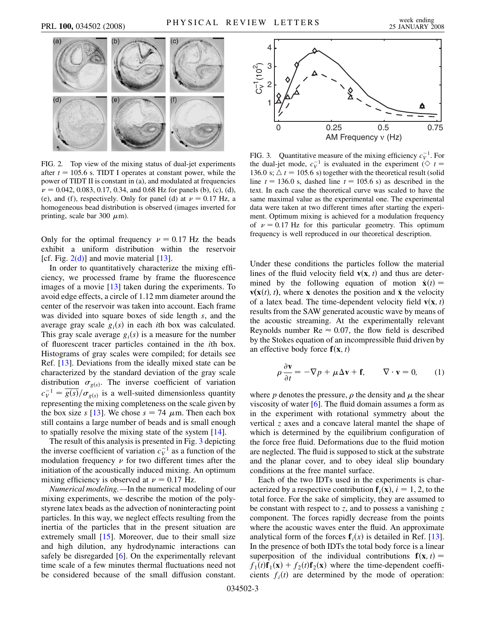<span id="page-2-0"></span>

<span id="page-2-1"></span>FIG. 2. Top view of the mixing status of dual-jet experiments after  $t = 105.6$  s. TIDT I operates at constant power, while the power of TIDT II is constant in (a), and modulated at frequencies  $\nu = 0.042, 0.083, 0.17, 0.34,$  and 0.68 Hz for panels (b), (c), (d), (e), and (f), respectively. Only for panel (d) at  $\nu = 0.17$  Hz, a homogeneous bead distribution is observed (images inverted for printing, scale bar 300  $\mu$ m).

Only for the optimal frequency  $\nu = 0.17$  Hz the beads exhibit a uniform distribution within the reservoir [cf. Fig.  $2(d)$ ] and movie material [\[13\]](#page-3-12).

In order to quantitatively characterize the mixing efficiency, we processed frame by frame the fluorescence images of a movie [\[13\]](#page-3-12) taken during the experiments. To avoid edge effects, a circle of 1.12 mm diameter around the center of the reservoir was taken into account. Each frame was divided into square boxes of side length *s*, and the average gray scale  $g_i(s)$  in each *i*th box was calculated. This gray scale average  $g_i(s)$  is a measure for the number of fluorescent tracer particles contained in the *i*th box. Histograms of gray scales were compiled; for details see Ref. [[13](#page-3-12)]. Deviations from the ideally mixed state can be characterized by the standard deviation of the gray scale distribution  $\sigma_{g(s)}$ . The inverse coefficient of variation  $c_V^{-1} = \frac{\overline{g(s)}}{\sigma_{g(s)}}$  is a well-suited dimensionless quantity representing the mixing completeness on the scale given by the box size *s* [[13](#page-3-12)]. We chose  $s = 74 \mu$ m. Then each box still contains a large number of beads and is small enough to spatially resolve the mixing state of the system [\[14\]](#page-3-13).

The result of this analysis is presented in Fig. [3](#page-2-2) depicting the inverse coefficient of variation  $c_V^{-1}$  as a function of the modulation frequency  $\nu$  for two different times after the initiation of the acoustically induced mixing. An optimum mixing efficiency is observed at  $\nu = 0.17$  Hz.

*Numerical modeling.—*In the numerical modeling of our mixing experiments, we describe the motion of the polystyrene latex beads as the advection of noninteracting point particles. In this way, we neglect effects resulting from the inertia of the particles that in the present situation are extremely small [[15](#page-3-14)]. Moreover, due to their small size and high dilution, any hydrodynamic interactions can safely be disregarded [[6\]](#page-3-5). On the experimentally relevant time scale of a few minutes thermal fluctuations need not be considered because of the small diffusion constant.

<span id="page-2-2"></span>

FIG. 3. Quantitative measure of the mixing efficiency  $c_V^{-1}$ . For the dual-jet mode,  $c_V^{-1}$  is evaluated in the experiment ( $\Diamond t =$ 136.0 s;  $\Delta t = 105.6$  s) together with the theoretical result (solid line  $t = 136.0$  s, dashed line  $t = 105.6$  s) as described in the text. In each case the theoretical curve was scaled to have the same maximal value as the experimental one. The experimental data were taken at two different times after starting the experiment. Optimum mixing is achieved for a modulation frequency of  $\nu = 0.17$  Hz for this particular geometry. This optimum frequency is well reproduced in our theoretical description.

Under these conditions the particles follow the material lines of the fluid velocity field  $\mathbf{v}(\mathbf{x}, t)$  and thus are determined by the following equation of motion  $\dot{\mathbf{x}}(t) =$ **, where <b>x** denotes the position and **x** the velocity of a latex bead. The time-dependent velocity field  $\mathbf{v}(\mathbf{x}, t)$ results from the SAW generated acoustic wave by means of the acoustic streaming. At the experimentally relevant Reynolds number  $Re \approx 0.07$ , the flow field is described by the Stokes equation of an incompressible fluid driven by an effective body force  $f(x, t)$ 

<span id="page-2-3"></span>
$$
\rho \frac{\partial \mathbf{v}}{\partial t} = -\nabla p + \mu \Delta \mathbf{v} + \mathbf{f}, \qquad \nabla \cdot \mathbf{v} = 0,
$$
 (1)

where  $p$  denotes the pressure,  $\rho$  the density and  $\mu$  the shear viscosity of water [\[6\]](#page-3-5). The fluid domain assumes a form as in the experiment with rotational symmetry about the vertical *z* axes and a concave lateral mantel the shape of which is determined by the equilibrium configuration of the force free fluid. Deformations due to the fluid motion are neglected. The fluid is supposed to stick at the substrate and the planar cover, and to obey ideal slip boundary conditions at the free mantel surface.

Each of the two IDTs used in the experiments is characterized by a respective contribution  $f_i(x)$ ,  $i = 1, 2$ , to the total force. For the sake of simplicity, they are assumed to be constant with respect to *z*, and to possess a vanishing *z* component. The forces rapidly decrease from the points where the acoustic waves enter the fluid. An approximate analytical form of the forces  $f_i(x)$  is detailed in Ref. [[13\]](#page-3-12). In the presence of both IDTs the total body force is a linear superposition of the individual contributions  $f(x, t) =$  $f_1(t)$ **f**<sub>1</sub>(**x**) +  $f_2(t)$ **f**<sub>2</sub>(**x**) where the time-dependent coefficients  $f_i(t)$  are determined by the mode of operation: